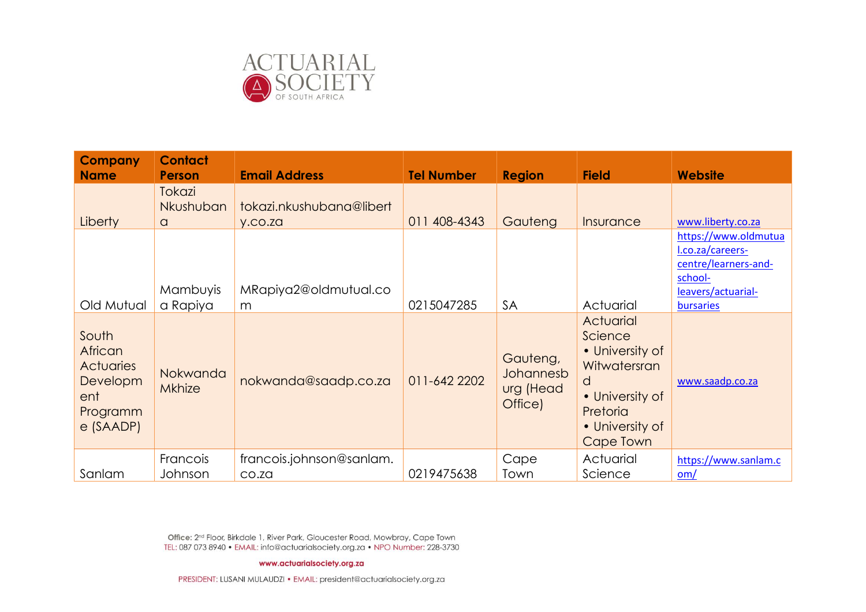

| <b>Company</b><br><b>Name</b>                                                      | <b>Contact</b><br><b>Person</b>        | <b>Email Address</b>                | <b>Tel Number</b> | <b>Region</b>                                 | <b>Field</b>                                                                                                                | <b>Website</b>                                                                                                 |
|------------------------------------------------------------------------------------|----------------------------------------|-------------------------------------|-------------------|-----------------------------------------------|-----------------------------------------------------------------------------------------------------------------------------|----------------------------------------------------------------------------------------------------------------|
| Liberty                                                                            | <b>Tokazi</b><br>Nkushuban<br>$\alpha$ | tokazi.nkushubana@libert<br>y.co.za | 011 408-4343      | Gauteng                                       | Insurance                                                                                                                   | www.liberty.co.za                                                                                              |
| Old Mutual                                                                         | Mambuyis<br>a Rapiya                   | MRapiya2@oldmutual.co<br>m          | 0215047285        | <b>SA</b>                                     | Actuarial                                                                                                                   | https://www.oldmutua<br>l.co.za/careers-<br>centre/learners-and-<br>school-<br>leavers/actuarial-<br>bursaries |
| South<br>African<br><b>Actuaries</b><br>Developm<br>ent<br>Programm<br>$e$ (SAADP) | Nokwanda<br><b>Mkhize</b>              | nokwanda@saadp.co.za                | 011-642 2202      | Gauteng,<br>Johannesb<br>urg (Head<br>Office) | Actuarial<br>Science<br>• University of<br>Witwatersran<br>d<br>• University of<br>Pretoria<br>• University of<br>Cape Town | www.saadp.co.za                                                                                                |
| Sanlam                                                                             | Francois<br>Johnson                    | francois.johnson@sanlam.<br>CO.ZQ   | 0219475638        | Cape<br>Town                                  | Actuarial<br>Science                                                                                                        | https://www.sanlam.c<br>$om/$                                                                                  |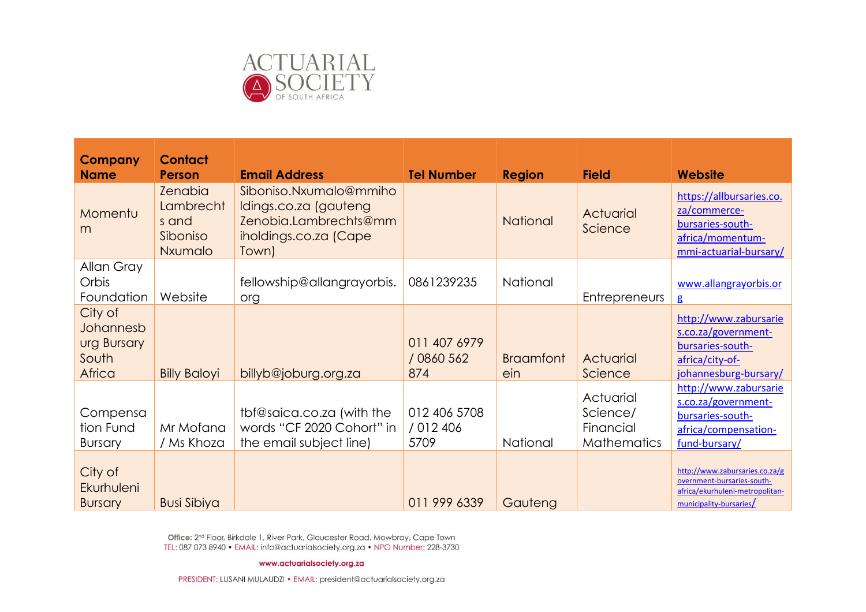

| Company<br><b>Name</b>                                 | <b>Contact</b><br><b>Person</b>                             | <b>Email Address</b>                                                                                       | <b>Tel Number</b>                 | <b>Region</b>           | <b>Field</b>                                      | <b>Website</b>                                                                                                             |
|--------------------------------------------------------|-------------------------------------------------------------|------------------------------------------------------------------------------------------------------------|-----------------------------------|-------------------------|---------------------------------------------------|----------------------------------------------------------------------------------------------------------------------------|
| Momentu<br>m                                           | <b>Zenabia</b><br>Lambrecht<br>s and<br>Siboniso<br>Nxumalo | Siboniso.Nxumalo@mmiho<br>Idings.co.za (gauteng<br>Zenobia.Lambrechts@mm<br>iholdings.co.za (Cape<br>Town) |                                   | <b>National</b>         | Actuarial<br>Science                              | https://allbursaries.co.<br>za/commerce-<br>bursaries-south-<br>africa/momentum-<br>mmi-actuarial-bursary/                 |
| Allan Gray<br>Orbis<br>Foundation                      | Website                                                     | fellowship@allangrayorbis.<br>org                                                                          | 0861239235                        | National                | <b>Entrepreneurs</b>                              | www.allangrayorbis.or<br>$\mathbf{g}$                                                                                      |
| City of<br>Johannesb<br>urg Bursary<br>South<br>Africa | <b>Billy Baloyi</b>                                         | billyb@joburg.org.za                                                                                       | 011 407 6979<br>/ 0860 562<br>874 | <b>Braamfont</b><br>ein | Actuarial<br>Science                              | http://www.zabursarie<br>s.co.za/government-<br>bursaries-south-<br>africa/city-of-<br>johannesburg-bursary/               |
| Compensa<br>tion Fund<br><b>Bursary</b>                | Mr Mofana<br>/ Ms Khoza                                     | tbf@saica.co.za (with the<br>words "CF 2020 Cohort" in<br>the email subject line)                          | 012 406 5708<br>/ 012 406<br>5709 | National                | Actuarial<br>Science/<br>Financial<br>Mathematics | http://www.zabursarie<br>s.co.za/government-<br>bursaries-south-<br>africa/compensation-<br>fund-bursary/                  |
| City of<br>Ekurhuleni<br><b>Bursary</b>                | <b>Busi Sibiya</b>                                          |                                                                                                            | 011 999 6339                      | Gautena                 |                                                   | http://www.zabursaries.co.za/g<br>overnment-bursaries-south-<br>africa/ekurhuleni-metropolitan-<br>municipality-bursaries/ |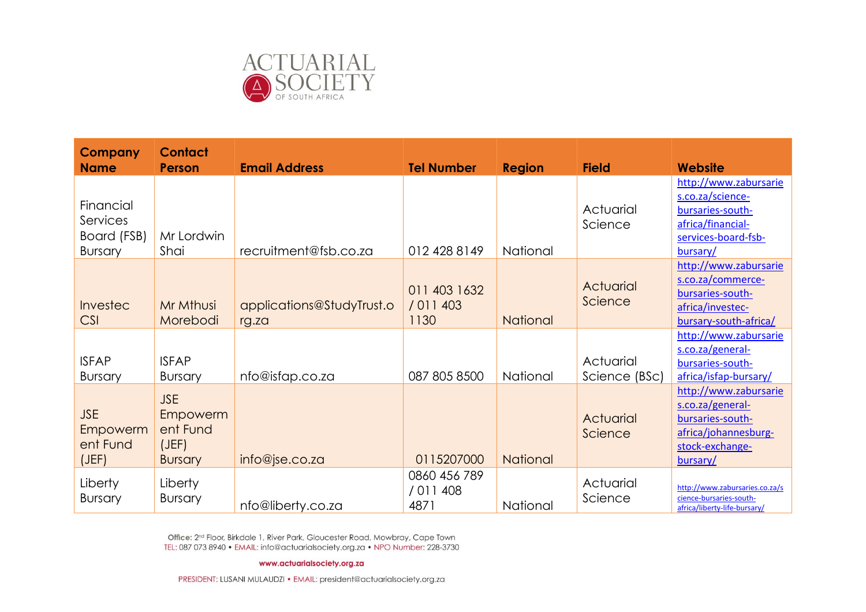

| <b>Company</b><br><b>Name</b>                          | <b>Contact</b><br><b>Person</b>                               | <b>Email Address</b>               | <b>Tel Number</b>                 | <b>Region</b>   | <b>Field</b>               | <b>Website</b>                                                                                                        |
|--------------------------------------------------------|---------------------------------------------------------------|------------------------------------|-----------------------------------|-----------------|----------------------------|-----------------------------------------------------------------------------------------------------------------------|
| Financial<br>Services<br>Board (FSB)<br><b>Bursary</b> | Mr Lordwin<br>Shai                                            | recruitment@fsb.co.za              | 012 428 8149                      | National        | Actuarial<br>Science       | http://www.zabursarie<br>s.co.za/science-<br>bursaries-south-<br>africa/financial-<br>services-board-fsb-<br>bursary/ |
| <b>Investec</b><br><b>CSI</b>                          | Mr Mthusi<br>Morebodi                                         | applications@StudyTrust.o<br>rg.za | 011 403 1632<br>/ 011 403<br>1130 | <b>National</b> | Actuarial<br>Science       | http://www.zabursarie<br>s.co.za/commerce-<br>bursaries-south-<br>africa/investec-<br>bursary-south-africa/           |
| <b>ISFAP</b><br><b>Bursary</b>                         | <b>ISFAP</b><br><b>Bursary</b>                                | nfo@isfap.co.za                    | 087 805 8500                      | National        | Actuarial<br>Science (BSc) | http://www.zabursarie<br>s.co.za/general-<br>bursaries-south-<br>africa/isfap-bursary/                                |
| <b>JSE</b><br>Empowerm<br>ent Fund<br>(JEF)            | <b>JSE</b><br>Empowerm<br>ent Fund<br>(JEF)<br><b>Bursary</b> | info@jse.co.za                     | 0115207000                        | <b>National</b> | Actuarial<br>Science       | http://www.zabursarie<br>s.co.za/general-<br>bursaries-south-<br>africa/johannesburg-<br>stock-exchange-<br>bursary/  |
| Liberty<br><b>Bursary</b>                              | Liberty<br><b>Bursary</b>                                     | nfo@liberty.co.za                  | 0860 456 789<br>/ 011 408<br>4871 | National        | Actuarial<br>Science       | http://www.zabursaries.co.za/s<br>cience-bursaries-south-<br>africa/liberty-life-bursary/                             |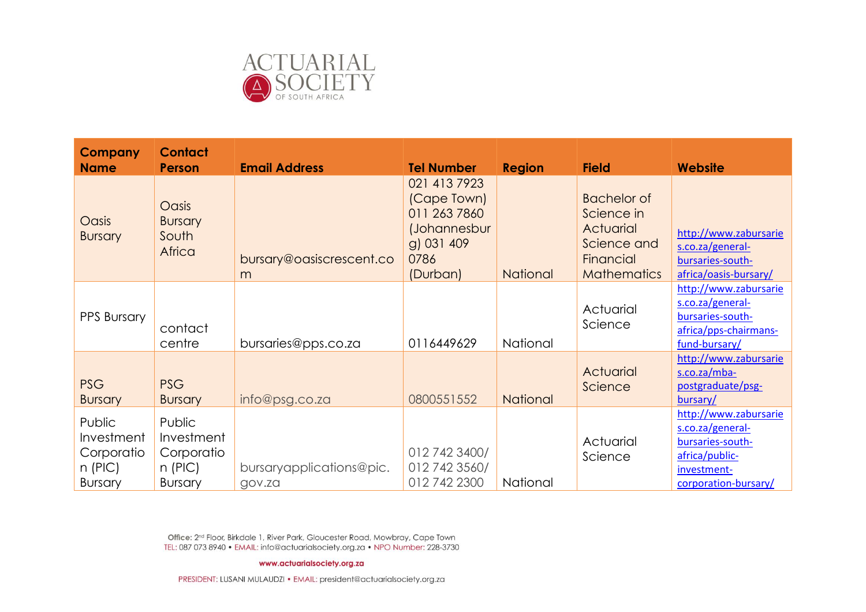

| <b>Company</b><br><b>Name</b>                                     | <b>Contact</b><br><b>Person</b>                                   | <b>Email Address</b>               | <b>Tel Number</b>                                                                             | <b>Region</b>   | <b>Field</b>                                                                                    | <b>Website</b>                                                                                                         |
|-------------------------------------------------------------------|-------------------------------------------------------------------|------------------------------------|-----------------------------------------------------------------------------------------------|-----------------|-------------------------------------------------------------------------------------------------|------------------------------------------------------------------------------------------------------------------------|
| Oasis<br><b>Bursary</b>                                           | Oasis<br><b>Bursary</b><br>South<br>Africa                        | bursary@oasiscrescent.co<br>m      | 021 413 7923<br>(Cape Town)<br>011 263 7860<br>(Johannesbur<br>g) 031 409<br>0786<br>(Durban) | <b>National</b> | <b>Bachelor of</b><br>Science in<br>Actuarial<br>Science and<br>Financial<br><b>Mathematics</b> | http://www.zabursarie<br>s.co.za/general-<br>bursaries-south-<br>africa/oasis-bursary/                                 |
| PPS Bursary                                                       | contact<br>centre                                                 | bursaries@pps.co.za                | 0116449629                                                                                    | National        | Actuarial<br>Science                                                                            | http://www.zabursarie<br>s.co.za/general-<br>bursaries-south-<br>africa/pps-chairmans-<br>fund-bursary/                |
| <b>PSG</b><br><b>Bursary</b>                                      | <b>PSG</b><br><b>Bursary</b>                                      | info@psg.co.za                     | 0800551552                                                                                    | <b>National</b> | Actuarial<br>Science                                                                            | http://www.zabursarie<br>$s.co.za/mba-$<br>postgraduate/psg-<br>bursary/                                               |
| Public<br>Investment<br>Corporatio<br>$n$ (PIC)<br><b>Bursary</b> | Public<br>Investment<br>Corporatio<br>$n$ (PIC)<br><b>Bursary</b> | bursaryapplications@pic.<br>gov.za | 012 742 3400/<br>012 742 3560/<br>012 742 2300                                                | National        | Actuarial<br>Science                                                                            | http://www.zabursarie<br>s.co.za/general-<br>bursaries-south-<br>africa/public-<br>investment-<br>corporation-bursary/ |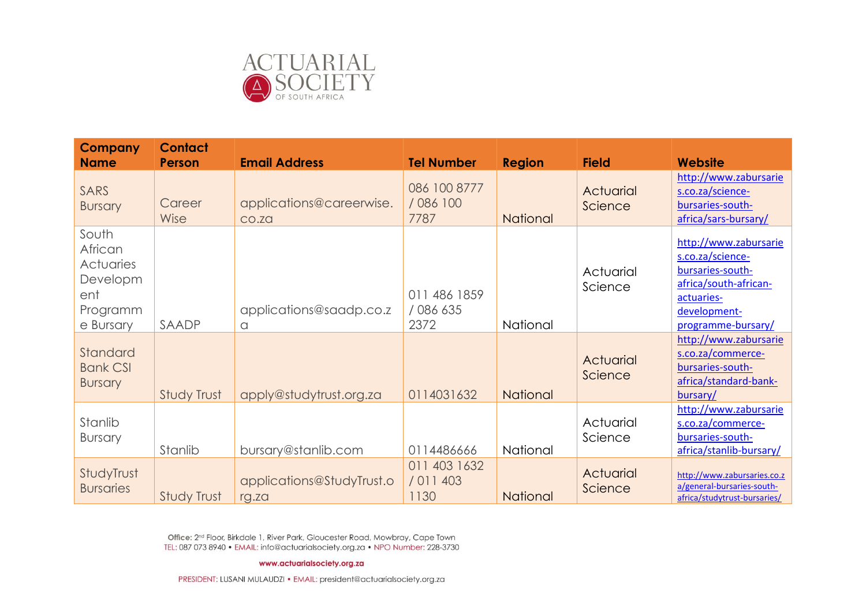

| <b>Company</b><br><b>Name</b>                                             | <b>Contact</b><br><b>Person</b> | <b>Email Address</b>               | <b>Tel Number</b>                 | <b>Region</b>   | <b>Field</b>         | Website                                                                                                                                    |
|---------------------------------------------------------------------------|---------------------------------|------------------------------------|-----------------------------------|-----------------|----------------------|--------------------------------------------------------------------------------------------------------------------------------------------|
| SARS<br><b>Bursary</b>                                                    | Career<br>Wise                  | applications@careerwise.<br>CO.ZQ  | 086 100 8777<br>/ 086 100<br>7787 | <b>National</b> | Actuarial<br>Science | http://www.zabursarie<br>s.co.za/science-<br>bursaries-south-<br>africa/sars-bursary/                                                      |
| South<br>African<br>Actuaries<br>Developm<br>ent<br>Programm<br>e Bursary | SAADP                           | applications@saadp.co.z<br>a       | 011 486 1859<br>/ 086 635<br>2372 | National        | Actuarial<br>Science | http://www.zabursarie<br>s.co.za/science-<br>bursaries-south-<br>africa/south-african-<br>actuaries-<br>development-<br>programme-bursary/ |
| Standard<br><b>Bank CSI</b><br><b>Bursary</b>                             | Study Trust                     | apply@studytrust.org.za            | 0114031632                        | National        | Actuarial<br>Science | http://www.zabursarie<br>s.co.za/commerce-<br>bursaries-south-<br>africa/standard-bank-<br>bursary/                                        |
| Stanlib<br><b>Bursary</b>                                                 | Stanlib                         | bursary@stanlib.com                | 0114486666                        | National        | Actuarial<br>Science | http://www.zabursarie<br>s.co.za/commerce-<br>bursaries-south-<br>africa/stanlib-bursary/                                                  |
| StudyTrust<br><b>Bursaries</b>                                            | Study Trust                     | applications@StudyTrust.o<br>rg.za | 011 403 1632<br>/ 011 403<br>1130 | National        | Actuarial<br>Science | http://www.zabursaries.co.z<br>a/general-bursaries-south-<br>africa/studytrust-bursaries/                                                  |